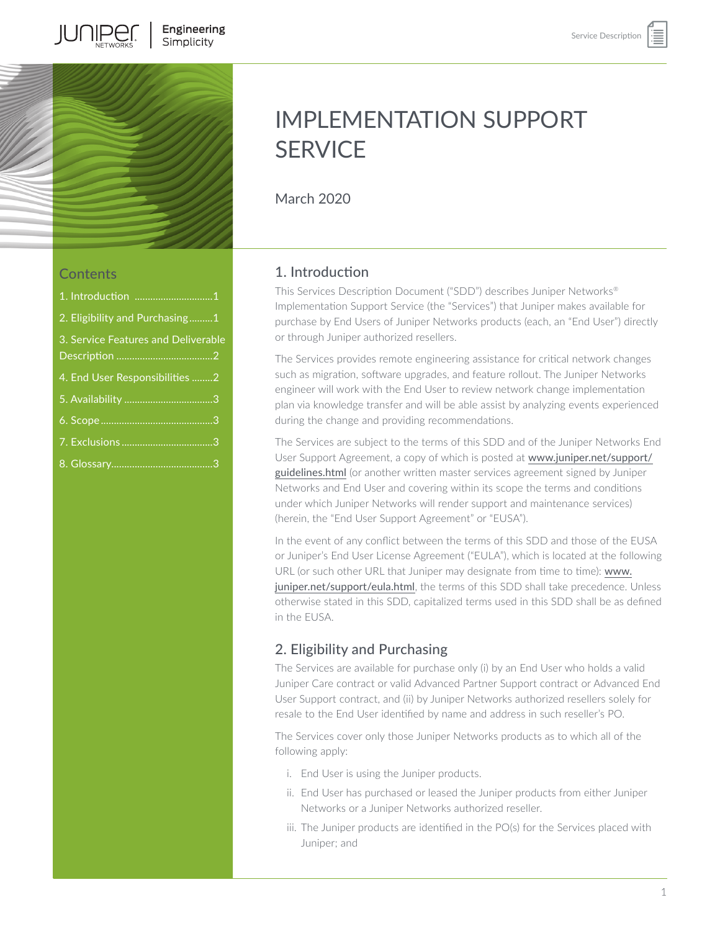

# IMPLEMENTATION SUPPORT **SERVICE**

March 2020

## **Contents**

| 1. Introduction 1                   |  |
|-------------------------------------|--|
| 2. Eligibility and Purchasing1      |  |
| 3. Service Features and Deliverable |  |
| 4. End User Responsibilities 2      |  |
|                                     |  |
|                                     |  |
|                                     |  |
|                                     |  |

## 1. Introduction

This Services Description Document ("SDD") describes Juniper Networks® Implementation Support Service (the "Services") that Juniper makes available for purchase by End Users of Juniper Networks products (each, an "End User") directly or through Juniper authorized resellers.

The Services provides remote engineering assistance for critical network changes such as migration, software upgrades, and feature rollout. The Juniper Networks engineer will work with the End User to review network change implementation plan via knowledge transfer and will be able assist by analyzing events experienced during the change and providing recommendations.

The Services are subject to the terms of this SDD and of the Juniper Networks End User Support Agreement, a copy of which is posted at [www.juniper.net/support/](http://www.juniper.net/support/guidelines.html) [guidelines.html](http://www.juniper.net/support/guidelines.html) (or another written master services agreement signed by Juniper Networks and End User and covering within its scope the terms and conditions under which Juniper Networks will render support and maintenance services) (herein, the "End User Support Agreement" or "EUSA").

In the event of any conflict between the terms of this SDD and those of the EUSA or Juniper's End User License Agreement ("EULA"), which is located at the following URL (or such other URL that Juniper may designate from time to time): [www.](http://www.juniper.net/support/eula.html) [juniper.net/support/eula.html](http://www.juniper.net/support/eula.html), the terms of this SDD shall take precedence. Unless otherwise stated in this SDD, capitalized terms used in this SDD shall be as defined in the EUSA.

# 2. Eligibility and Purchasing

The Services are available for purchase only (i) by an End User who holds a valid Juniper Care contract or valid Advanced Partner Support contract or Advanced End User Support contract, and (ii) by Juniper Networks authorized resellers solely for resale to the End User identified by name and address in such reseller's PO.

The Services cover only those Juniper Networks products as to which all of the following apply:

- i. End User is using the Juniper products.
- ii. End User has purchased or leased the Juniper products from either Juniper Networks or a Juniper Networks authorized reseller.
- iii. The Juniper products are identified in the PO(s) for the Services placed with Juniper; and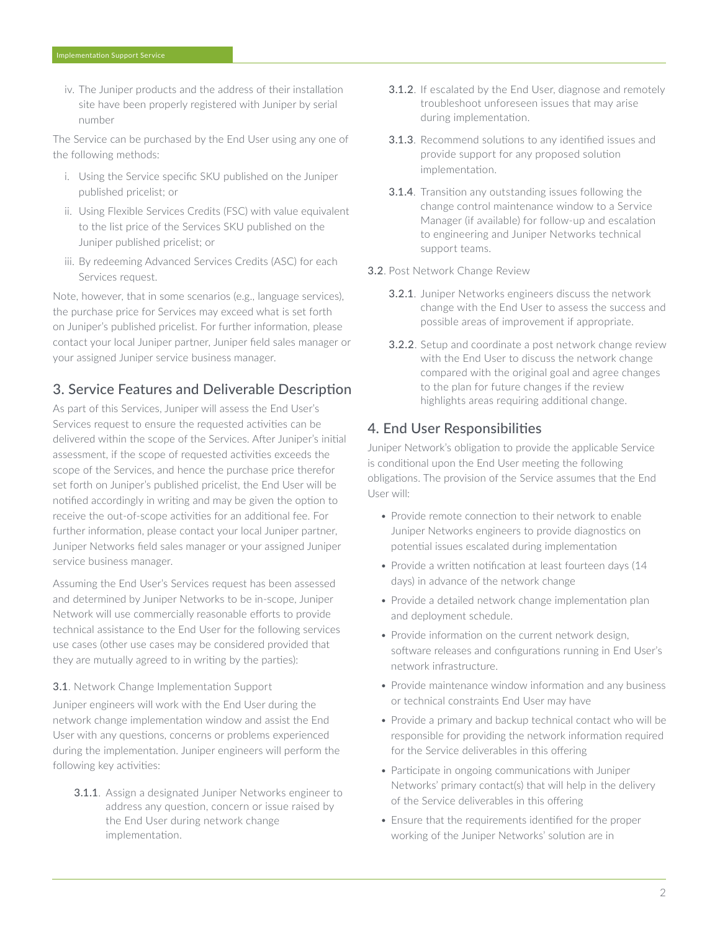<span id="page-1-0"></span>iv. The Juniper products and the address of their installation site have been properly registered with Juniper by serial number

The Service can be purchased by the End User using any one of the following methods:

- i. Using the Service specific SKU published on the Juniper published pricelist; or
- ii. Using Flexible Services Credits (FSC) with value equivalent to the list price of the Services SKU published on the Juniper published pricelist; or
- iii. By redeeming Advanced Services Credits (ASC) for each Services request.

Note, however, that in some scenarios (e.g., language services), the purchase price for Services may exceed what is set forth on Juniper's published pricelist. For further information, please contact your local Juniper partner, Juniper field sales manager or your assigned Juniper service business manager.

# 3. Service Features and Deliverable Description

As part of this Services, Juniper will assess the End User's Services request to ensure the requested activities can be delivered within the scope of the Services. After Juniper's initial assessment, if the scope of requested activities exceeds the scope of the Services, and hence the purchase price therefor set forth on Juniper's published pricelist, the End User will be notified accordingly in writing and may be given the option to receive the out-of-scope activities for an additional fee. For further information, please contact your local Juniper partner, Juniper Networks field sales manager or your assigned Juniper service business manager.

Assuming the End User's Services request has been assessed and determined by Juniper Networks to be in-scope, Juniper Network will use commercially reasonable efforts to provide technical assistance to the End User for the following services use cases (other use cases may be considered provided that they are mutually agreed to in writing by the parties):

#### **3.1.** Network Change Implementation Support

Juniper engineers will work with the End User during the network change implementation window and assist the End User with any questions, concerns or problems experienced during the implementation. Juniper engineers will perform the following key activities:

3.1.1. Assign a designated Juniper Networks engineer to address any question, concern or issue raised by the End User during network change implementation.

- 3.1.2. If escalated by the End User, diagnose and remotely troubleshoot unforeseen issues that may arise during implementation.
- 3.1.3. Recommend solutions to any identified issues and provide support for any proposed solution implementation.
- 3.1.4. Transition any outstanding issues following the change control maintenance window to a Service Manager (if available) for follow-up and escalation to engineering and Juniper Networks technical support teams.

#### 3.2. Post Network Change Review

- 3.2.1. Juniper Networks engineers discuss the network change with the End User to assess the success and possible areas of improvement if appropriate.
- **3.2.2**. Setup and coordinate a post network change review with the End User to discuss the network change compared with the original goal and agree changes to the plan for future changes if the review highlights areas requiring additional change.

#### 4. End User Responsibilities

Juniper Network's obligation to provide the applicable Service is conditional upon the End User meeting the following obligations. The provision of the Service assumes that the End User will:

- Provide remote connection to their network to enable Juniper Networks engineers to provide diagnostics on potential issues escalated during implementation
- Provide a written notification at least fourteen days (14 days) in advance of the network change
- Provide a detailed network change implementation plan and deployment schedule.
- Provide information on the current network design, software releases and configurations running in End User's network infrastructure.
- Provide maintenance window information and any business or technical constraints End User may have
- Provide a primary and backup technical contact who will be responsible for providing the network information required for the Service deliverables in this offering
- Participate in ongoing communications with Juniper Networks' primary contact(s) that will help in the delivery of the Service deliverables in this offering
- Ensure that the requirements identified for the proper working of the Juniper Networks' solution are in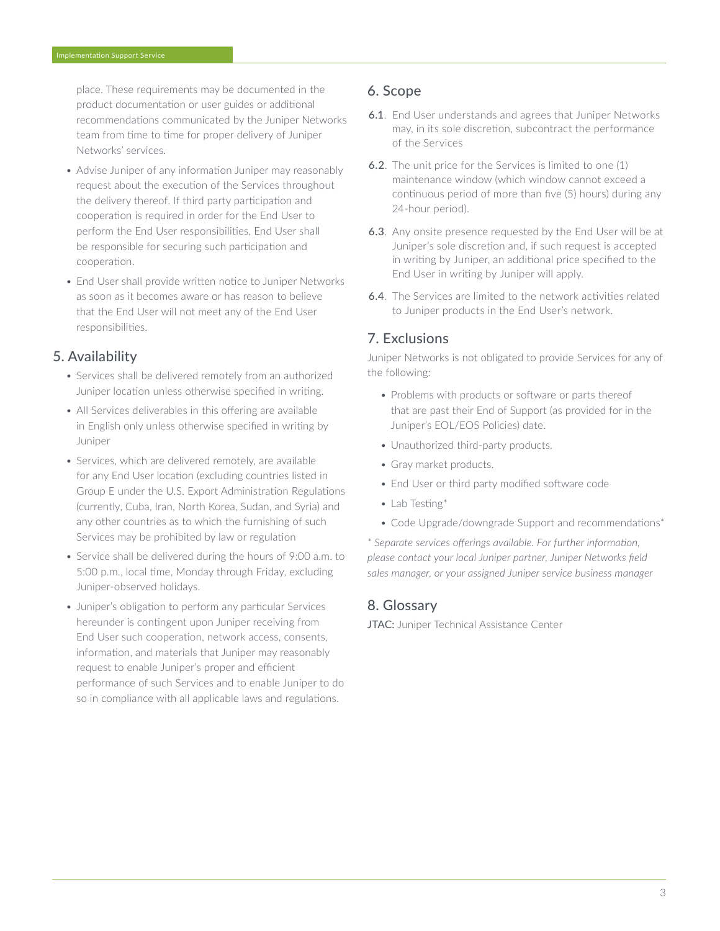<span id="page-2-0"></span>place. These requirements may be documented in the product documentation or user guides or additional recommendations communicated by the Juniper Networks team from time to time for proper delivery of Juniper Networks' services.

- Advise Juniper of any information Juniper may reasonably request about the execution of the Services throughout the delivery thereof. If third party participation and cooperation is required in order for the End User to perform the End User responsibilities, End User shall be responsible for securing such participation and cooperation.
- End User shall provide written notice to Juniper Networks as soon as it becomes aware or has reason to believe that the End User will not meet any of the End User responsibilities.

#### 5. Availability

- Services shall be delivered remotely from an authorized Juniper location unless otherwise specified in writing.
- All Services deliverables in this offering are available in English only unless otherwise specified in writing by Juniper
- Services, which are delivered remotely, are available for any End User location (excluding countries listed in Group E under the U.S. Export Administration Regulations (currently, Cuba, Iran, North Korea, Sudan, and Syria) and any other countries as to which the furnishing of such Services may be prohibited by law or regulation
- Service shall be delivered during the hours of 9:00 a.m. to 5:00 p.m., local time, Monday through Friday, excluding Juniper-observed holidays.
- Juniper's obligation to perform any particular Services hereunder is contingent upon Juniper receiving from End User such cooperation, network access, consents, information, and materials that Juniper may reasonably request to enable Juniper's proper and efficient performance of such Services and to enable Juniper to do so in compliance with all applicable laws and regulations.

## 6. Scope

- 6.1. End User understands and agrees that Juniper Networks may, in its sole discretion, subcontract the performance of the Services
- 6.2. The unit price for the Services is limited to one (1) maintenance window (which window cannot exceed a continuous period of more than five (5) hours) during any 24-hour period).
- 6.3. Any onsite presence requested by the End User will be at Juniper's sole discretion and, if such request is accepted in writing by Juniper, an additional price specified to the End User in writing by Juniper will apply.
- 6.4. The Services are limited to the network activities related to Juniper products in the End User's network.

## 7. Exclusions

Juniper Networks is not obligated to provide Services for any of the following:

- Problems with products or software or parts thereof that are past their End of Support (as provided for in the Juniper's EOL/EOS Policies) date.
- Unauthorized third-party products.
- Gray market products.
- End User or third party modified software code
- Lab Testing\*
- Code Upgrade/downgrade Support and recommendations\*

*\* Separate services offerings available. For further information, please contact your local Juniper partner, Juniper Networks field sales manager, or your assigned Juniper service business manager*

#### 8. Glossary

JTAC: Juniper Technical Assistance Center